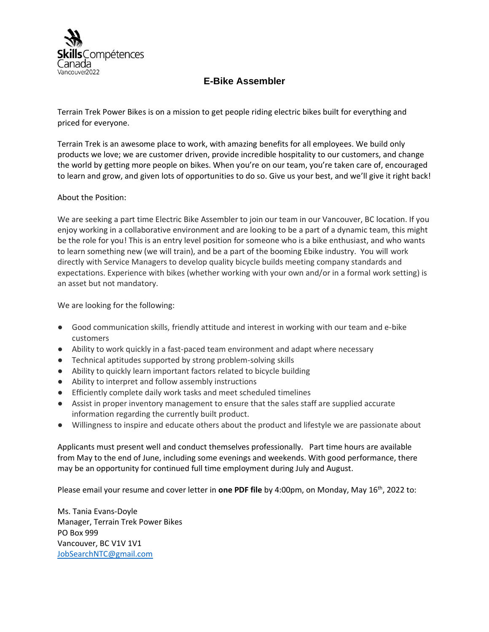

## **E-Bike Assembler**

Terrain Trek Power Bikes is on a mission to get people riding electric bikes built for everything and priced for everyone.

Terrain Trek is an awesome place to work, with amazing benefits for all employees. We build only products we love; we are customer driven, provide incredible hospitality to our customers, and change the world by getting more people on bikes. When you're on our team, you're taken care of, encouraged to learn and grow, and given lots of opportunities to do so. Give us your best, and we'll give it right back!

## About the Position:

We are seeking a part time Electric Bike Assembler to join our team in our Vancouver, BC location. If you enjoy working in a collaborative environment and are looking to be a part of a dynamic team, this might be the role for you! This is an entry level position for someone who is a bike enthusiast, and who wants to learn something new (we will train), and be a part of the booming Ebike industry. You will work directly with Service Managers to develop quality bicycle builds meeting company standards and expectations. Experience with bikes (whether working with your own and/or in a formal work setting) is an asset but not mandatory.

We are looking for the following:

- Good communication skills, friendly attitude and interest in working with our team and e-bike customers
- Ability to work quickly in a fast-paced team environment and adapt where necessary
- Technical aptitudes supported by strong problem-solving skills
- Ability to quickly learn important factors related to bicycle building
- Ability to interpret and follow assembly instructions
- Efficiently complete daily work tasks and meet scheduled timelines
- Assist in proper inventory management to ensure that the sales staff are supplied accurate information regarding the currently built product.
- Willingness to inspire and educate others about the product and lifestyle we are passionate about

Applicants must present well and conduct themselves professionally. Part time hours are available from May to the end of June, including some evenings and weekends. With good performance, there may be an opportunity for continued full time employment during July and August.

Please email your resume and cover letter in **one PDF file** by 4:00pm, on Monday, May 16<sup>th</sup>, 2022 to:

Ms. Tania Evans-Doyle Manager, Terrain Trek Power Bikes PO Box 999 Vancouver, BC V1V 1V1 [JobSearchNTC@gmail.com](mailto:JobSearchNTC@gmail.com)